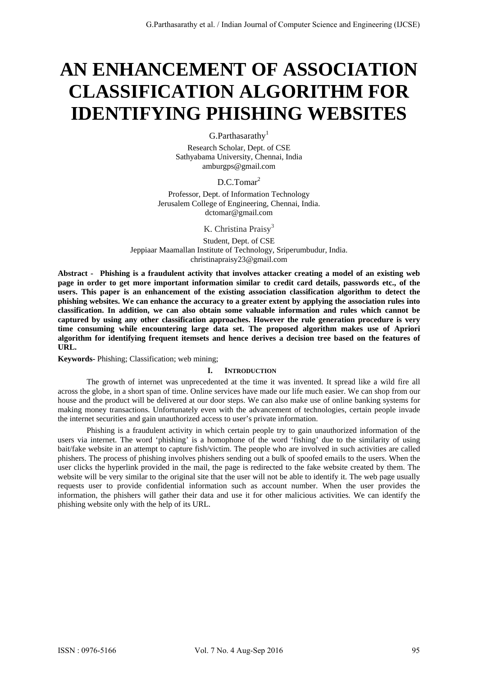# **AN ENHANCEMENT OF ASSOCIATION CLASSIFICATION ALGORITHM FOR IDENTIFYING PHISHING WEBSITES**

 $G.Part has a rather$ 

Research Scholar, Dept. of CSE Sathyabama University, Chennai, India amburgps@gmail.com

D.C.Tomar<sup>2</sup>

Professor, Dept. of Information Technology Jerusalem College of Engineering, Chennai, India. dctomar@gmail.com

K. Christina Praisy<sup>3</sup>

Student, Dept. of CSE Jeppiaar Maamallan Institute of Technology, Sriperumbudur, India. christinapraisy23@gmail.com

**Abstract - Phishing is a fraudulent activity that involves attacker creating a model of an existing web page in order to get more important information similar to credit card details, passwords etc., of the users. This paper is an enhancement of the existing association classification algorithm to detect the phishing websites. We can enhance the accuracy to a greater extent by applying the association rules into classification. In addition, we can also obtain some valuable information and rules which cannot be captured by using any other classification approaches. However the rule generation procedure is very time consuming while encountering large data set. The proposed algorithm makes use of Apriori algorithm for identifying frequent itemsets and hence derives a decision tree based on the features of URL.** 

**Keywords-** Phishing; Classification; web mining;

# **I. INTRODUCTION**

The growth of internet was unprecedented at the time it was invented. It spread like a wild fire all across the globe, in a short span of time. Online services have made our life much easier. We can shop from our house and the product will be delivered at our door steps. We can also make use of online banking systems for making money transactions. Unfortunately even with the advancement of technologies, certain people invade the internet securities and gain unauthorized access to user's private information.

Phishing is a fraudulent activity in which certain people try to gain unauthorized information of the users via internet. The word 'phishing' is a homophone of the word 'fishing' due to the similarity of using bait/fake website in an attempt to capture fish/victim. The people who are involved in such activities are called phishers. The process of phishing involves phishers sending out a bulk of spoofed emails to the users. When the user clicks the hyperlink provided in the mail, the page is redirected to the fake website created by them. The website will be very similar to the original site that the user will not be able to identify it. The web page usually requests user to provide confidential information such as account number. When the user provides the information, the phishers will gather their data and use it for other malicious activities. We can identify the phishing website only with the help of its URL.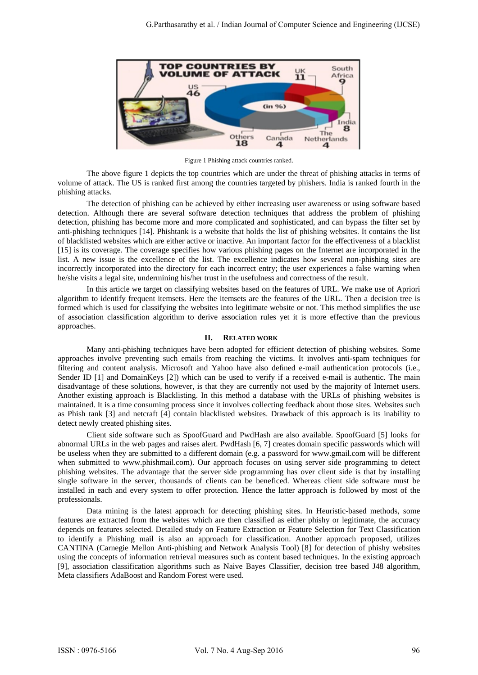

Figure 1 Phishing attack countries ranked.

The above figure 1 depicts the top countries which are under the threat of phishing attacks in terms of volume of attack. The US is ranked first among the countries targeted by phishers. India is ranked fourth in the phishing attacks.

The detection of phishing can be achieved by either increasing user awareness or using software based detection. Although there are several software detection techniques that address the problem of phishing detection, phishing has become more and more complicated and sophisticated, and can bypass the filter set by anti-phishing techniques [14]. Phishtank is a website that holds the list of phishing websites. It contains the list of blacklisted websites which are either active or inactive. An important factor for the effectiveness of a blacklist [15] is its coverage. The coverage specifies how various phishing pages on the Internet are incorporated in the list. A new issue is the excellence of the list. The excellence indicates how several non-phishing sites are incorrectly incorporated into the directory for each incorrect entry; the user experiences a false warning when he/she visits a legal site, undermining his/her trust in the usefulness and correctness of the result.

In this article we target on classifying websites based on the features of URL. We make use of Apriori algorithm to identify frequent itemsets. Here the itemsets are the features of the URL. Then a decision tree is formed which is used for classifying the websites into legitimate website or not. This method simplifies the use of association classification algorithm to derive association rules yet it is more effective than the previous approaches.

#### **II. RELATED WORK**

Many anti-phishing techniques have been adopted for efficient detection of phishing websites. Some approaches involve preventing such emails from reaching the victims. It involves anti-spam techniques for filtering and content analysis. Microsoft and Yahoo have also defined e-mail authentication protocols (i.e., Sender ID [1] and DomainKeys [2]) which can be used to verify if a received e-mail is authentic. The main disadvantage of these solutions, however, is that they are currently not used by the majority of Internet users. Another existing approach is Blacklisting. In this method a database with the URLs of phishing websites is maintained. It is a time consuming process since it involves collecting feedback about those sites. Websites such as Phish tank [3] and netcraft [4] contain blacklisted websites. Drawback of this approach is its inability to detect newly created phishing sites.

Client side software such as SpoofGuard and PwdHash are also available. SpoofGuard [5] looks for abnormal URLs in the web pages and raises alert. PwdHash [6, 7] creates domain specific passwords which will be useless when they are submitted to a different domain (e.g. a password for www.gmail.com will be different when submitted to www.phishmail.com). Our approach focuses on using server side programming to detect phishing websites. The advantage that the server side programming has over client side is that by installing single software in the server, thousands of clients can be beneficed. Whereas client side software must be installed in each and every system to offer protection. Hence the latter approach is followed by most of the professionals.

Data mining is the latest approach for detecting phishing sites. In Heuristic-based methods, some features are extracted from the websites which are then classified as either phishy or legitimate, the accuracy depends on features selected. Detailed study on Feature Extraction or Feature Selection for Text Classification to identify a Phishing mail is also an approach for classification. Another approach proposed, utilizes CANTINA (Carnegie Mellon Anti-phishing and Network Analysis Tool) [8] for detection of phishy websites using the concepts of information retrieval measures such as content based techniques. In the existing approach [9], association classification algorithms such as Naive Bayes Classifier, decision tree based J48 algorithm, Meta classifiers AdaBoost and Random Forest were used.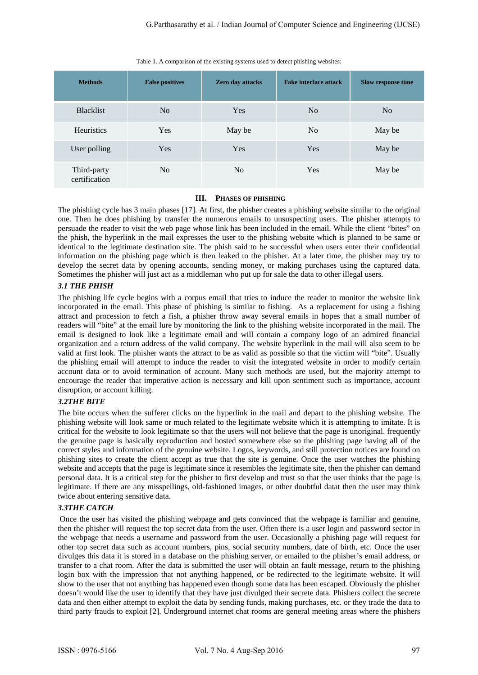| <b>Methods</b>               | <b>False positives</b> | <b>Zero day attacks</b> | <b>Fake interface attack</b> | <b>Slow response time</b> |
|------------------------------|------------------------|-------------------------|------------------------------|---------------------------|
|                              |                        |                         |                              |                           |
| <b>Blacklist</b>             | N <sub>o</sub>         | Yes                     | N <sub>0</sub>               | No                        |
| <b>Heuristics</b>            | <b>Yes</b>             | May be                  | N <sub>0</sub>               | May be                    |
| User polling                 | Yes                    | Yes                     | Yes                          | May be                    |
| Third-party<br>certification | N <sub>0</sub>         | N <sub>0</sub>          | Yes                          | May be                    |

Table 1. A comparison of the existing systems used to detect phishing websites:

# **III. PHASES OF PHISHING**

The phishing cycle has 3 main phases [17]. At first, the phisher creates a phishing website similar to the original one. Then he does phishing by transfer the numerous emails to unsuspecting users. The phisher attempts to persuade the reader to visit the web page whose link has been included in the email. While the client "bites" on the phish, the hyperlink in the mail expresses the user to the phishing website which is planned to be same or identical to the legitimate destination site. The phish said to be successful when users enter their confidential information on the phishing page which is then leaked to the phisher. At a later time, the phisher may try to develop the secret data by opening accounts, sending money, or making purchases using the captured data. Sometimes the phisher will just act as a middleman who put up for sale the data to other illegal users.

# *3.1 THE PHISH*

The phishing life cycle begins with a corpus email that tries to induce the reader to monitor the website link incorporated in the email. This phase of phishing is similar to fishing. As a replacement for using a fishing attract and procession to fetch a fish, a phisher throw away several emails in hopes that a small number of readers will "bite" at the email lure by monitoring the link to the phishing website incorporated in the mail. The email is designed to look like a legitimate email and will contain a company logo of an admired financial organization and a return address of the valid company. The website hyperlink in the mail will also seem to be valid at first look. The phisher wants the attract to be as valid as possible so that the victim will "bite". Usually the phishing email will attempt to induce the reader to visit the integrated website in order to modify certain account data or to avoid termination of account. Many such methods are used, but the majority attempt to encourage the reader that imperative action is necessary and kill upon sentiment such as importance, account disruption, or account killing.

# *3.2THE BITE*

The bite occurs when the sufferer clicks on the hyperlink in the mail and depart to the phishing website. The phishing website will look same or much related to the legitimate website which it is attempting to imitate. It is critical for the website to look legitimate so that the users will not believe that the page is unoriginal. frequently the genuine page is basically reproduction and hosted somewhere else so the phishing page having all of the correct styles and information of the genuine website. Logos, keywords, and still protection notices are found on phishing sites to create the client accept as true that the site is genuine. Once the user watches the phishing website and accepts that the page is legitimate since it resembles the legitimate site, then the phisher can demand personal data. It is a critical step for the phisher to first develop and trust so that the user thinks that the page is legitimate. If there are any misspellings, old-fashioned images, or other doubtful datat then the user may think twice about entering sensitive data.

# *3.3THE CATCH*

 Once the user has visited the phishing webpage and gets convinced that the webpage is familiar and genuine, then the phisher will request the top secret data from the user. Often there is a user login and password sector in the webpage that needs a username and password from the user. Occasionally a phishing page will request for other top secret data such as account numbers, pins, social security numbers, date of birth, etc. Once the user divulges this data it is stored in a database on the phishing server, or emailed to the phisher's email address, or transfer to a chat room. After the data is submitted the user will obtain an fault message, return to the phishing login box with the impression that not anything happened, or be redirected to the legitimate website. It will show to the user that not anything has happened even though some data has been escaped. Obviously the phisher doesn't would like the user to identify that they have just divulged their secrete data. Phishers collect the secrete data and then either attempt to exploit the data by sending funds, making purchases, etc. or they trade the data to third party frauds to exploit [2]. Underground internet chat rooms are general meeting areas where the phishers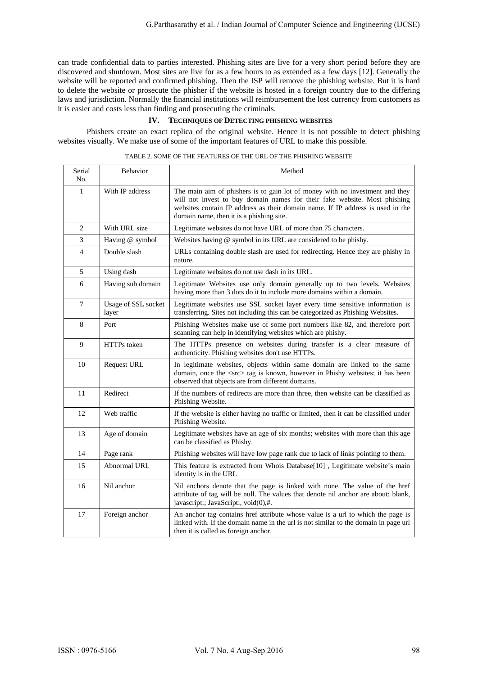can trade confidential data to parties interested. Phishing sites are live for a very short period before they are discovered and shutdown. Most sites are live for as a few hours to as extended as a few days [12]. Generally the website will be reported and confirmed phishing. Then the ISP will remove the phishing website. But it is hard to delete the website or prosecute the phisher if the website is hosted in a foreign country due to the differing laws and jurisdiction. Normally the financial institutions will reimbursement the lost currency from customers as it is easier and costs less than finding and prosecuting the criminals.

#### **IV. TECHNIQUES OF DETECTING PHISHING WEBSITES**

Phishers create an exact replica of the original website. Hence it is not possible to detect phishing websites visually. We make use of some of the important features of URL to make this possible.

| Serial<br>No.  | <b>Behavior</b>              | Method                                                                                                                                                                                                                                                                                  |
|----------------|------------------------------|-----------------------------------------------------------------------------------------------------------------------------------------------------------------------------------------------------------------------------------------------------------------------------------------|
| 1              | With IP address              | The main aim of phishers is to gain lot of money with no investment and they<br>will not invest to buy domain names for their fake website. Most phishing<br>websites contain IP address as their domain name. If IP address is used in the<br>domain name, then it is a phishing site. |
| 2              | With URL size                | Legitimate websites do not have URL of more than 75 characters.                                                                                                                                                                                                                         |
| 3              | Having @ symbol              | Websites having @ symbol in its URL are considered to be phishy.                                                                                                                                                                                                                        |
| $\overline{4}$ | Double slash                 | URLs containing double slash are used for redirecting. Hence they are phishy in<br>nature.                                                                                                                                                                                              |
| 5              | Using dash                   | Legitimate websites do not use dash in its URL.                                                                                                                                                                                                                                         |
| 6              | Having sub domain            | Legitimate Websites use only domain generally up to two levels. Websites<br>having more than 3 dots do it to include more domains within a domain.                                                                                                                                      |
| $\tau$         | Usage of SSL socket<br>layer | Legitimate websites use SSL socket layer every time sensitive information is<br>transferring. Sites not including this can be categorized as Phishing Websites.                                                                                                                         |
| 8              | Port                         | Phishing Websites make use of some port numbers like 82, and therefore port<br>scanning can help in identifying websites which are phishy.                                                                                                                                              |
| 9              | HTTPs token                  | The HTTPs presence on websites during transfer is a clear measure of<br>authenticity. Phishing websites don't use HTTPs.                                                                                                                                                                |
| 10             | Request URL                  | In legitimate websites, objects within same domain are linked to the same<br>domain, once the <src> tag is known, however in Phishy websites; it has been<br/>observed that objects are from different domains.</src>                                                                   |
| 11             | Redirect                     | If the numbers of redirects are more than three, then website can be classified as<br>Phishing Website.                                                                                                                                                                                 |
| 12             | Web traffic                  | If the website is either having no traffic or limited, then it can be classified under<br>Phishing Website.                                                                                                                                                                             |
| 13             | Age of domain                | Legitimate websites have an age of six months; websites with more than this age<br>can be classified as Phishy.                                                                                                                                                                         |
| 14             | Page rank                    | Phishing websites will have low page rank due to lack of links pointing to them.                                                                                                                                                                                                        |
| 15             | Abnormal URL                 | This feature is extracted from Whois Database[10], Legitimate website's main<br>identity is in the URL                                                                                                                                                                                  |
| 16             | Nil anchor                   | Nil anchors denote that the page is linked with none. The value of the href<br>attribute of tag will be null. The values that denote nil anchor are about: blank,<br>javascript:; JavaScript:, void(0),#.                                                                               |
| 17             | Foreign anchor               | An anchor tag contains href attribute whose value is a url to which the page is<br>linked with. If the domain name in the url is not similar to the domain in page url<br>then it is called as foreign anchor.                                                                          |

TABLE 2. SOME OF THE FEATURES OF THE URL OF THE PHISHING WEBSITE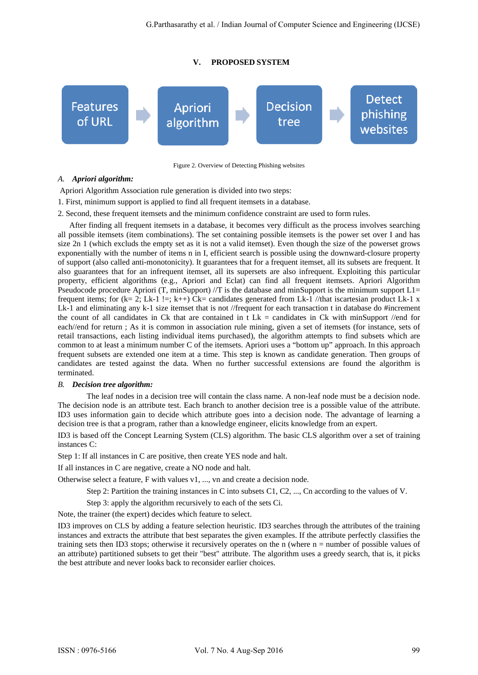# **V. PROPOSED SYSTEM**



Figure 2. Overview of Detecting Phishing websites

# *A. Apriori algorithm:*

Apriori Algorithm Association rule generation is divided into two steps:

- 1. First, minimum support is applied to find all frequent itemsets in a database.
- 2. Second, these frequent itemsets and the minimum confidence constraint are used to form rules.

After finding all frequent itemsets in a database, it becomes very difficult as the process involves searching all possible itemsets (item combinations). The set containing possible itemsets is the power set over I and has size 2n 1 (which excluds the empty set as it is not a valid itemset). Even though the size of the powerset grows exponentially with the number of items n in I, efficient search is possible using the downward-closure property of support (also called anti-monotonicity). It guarantees that for a frequent itemset, all its subsets are frequent. It also guarantees that for an infrequent itemset, all its supersets are also infrequent. Exploiting this particular property, efficient algorithms (e.g., Apriori and Eclat) can find all frequent itemsets. Apriori Algorithm Pseudocode procedure Apriori (T, minSupport) //T is the database and minSupport is the minimum support  $L1=$ frequent items; for  $(k= 2; Lk-1] =; k++)$  Ck= candidates generated from Lk-1 //that iscartesian product Lk-1 x Lk-1 and eliminating any k-1 size itemset that is not //frequent for each transaction t in database do #increment the count of all candidates in Ck that are contained in  $t$  Lk = candidates in Ck with minSupport //end for each//end for return ; As it is common in association rule mining, given a set of itemsets (for instance, sets of retail transactions, each listing individual items purchased), the algorithm attempts to find subsets which are common to at least a minimum number C of the itemsets. Apriori uses a "bottom up" approach. In this approach frequent subsets are extended one item at a time. This step is known as candidate generation. Then groups of candidates are tested against the data. When no further successful extensions are found the algorithm is terminated.

# *B. Decision tree algorithm:*

The leaf nodes in a decision tree will contain the class name. A non-leaf node must be a decision node. The decision node is an attribute test. Each branch to another decision tree is a possible value of the attribute. ID3 uses information gain to decide which attribute goes into a decision node. The advantage of learning a decision tree is that a program, rather than a knowledge engineer, elicits knowledge from an expert.

ID3 is based off the Concept Learning System (CLS) algorithm. The basic CLS algorithm over a set of training instances C:

Step 1: If all instances in C are positive, then create YES node and halt.

If all instances in C are negative, create a NO node and halt.

Otherwise select a feature, F with values v1, ..., vn and create a decision node.

Step 2: Partition the training instances in C into subsets C1, C2, ..., Cn according to the values of V.

Step 3: apply the algorithm recursively to each of the sets Ci.

Note, the trainer (the expert) decides which feature to select.

ID3 improves on CLS by adding a feature selection heuristic. ID3 searches through the attributes of the training instances and extracts the attribute that best separates the given examples. If the attribute perfectly classifies the training sets then ID3 stops; otherwise it recursively operates on the n (where n = number of possible values of an attribute) partitioned subsets to get their "best" attribute. The algorithm uses a greedy search, that is, it picks the best attribute and never looks back to reconsider earlier choices.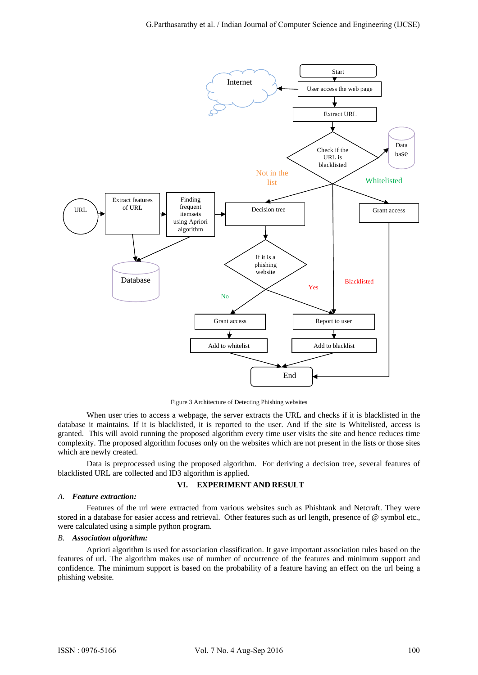

Figure 3 Architecture of Detecting Phishing websites

When user tries to access a webpage, the server extracts the URL and checks if it is blacklisted in the database it maintains. If it is blacklisted, it is reported to the user. And if the site is Whitelisted, access is granted. This will avoid running the proposed algorithm every time user visits the site and hence reduces time complexity. The proposed algorithm focuses only on the websites which are not present in the lists or those sites which are newly created.

 Data is preprocessed using the proposed algorithm. For deriving a decision tree, several features of blacklisted URL are collected and ID3 algorithm is applied.

# **VI. EXPERIMENT AND RESULT**

#### *A. Feature extraction:*

Features of the url were extracted from various websites such as Phishtank and Netcraft. They were stored in a database for easier access and retrieval. Other features such as url length, presence of @ symbol etc., were calculated using a simple python program.

#### *B. Association algorithm:*

Apriori algorithm is used for association classification. It gave important association rules based on the features of url. The algorithm makes use of number of occurrence of the features and minimum support and confidence. The minimum support is based on the probability of a feature having an effect on the url being a phishing website.